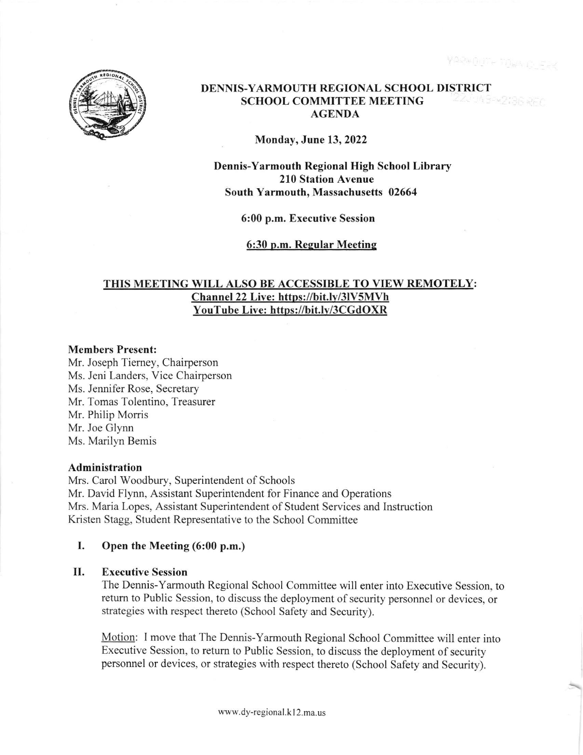

## DENNIS-YARMOUTH REGIONAL SCHOOL DISTRICT SCHOOL COMMITTEE MEETING AGENDA

Monday, June 13,2022

Dennis-Yarmouth Regional High School Library 210 Station Avenue South Yarmouth, Massachusetts 02664

6:00 p.m. Executive Session

6:30 p.m. Regular Meeting

# THIS MEETING WILL ALSO BE ACCESSIBLE TO VIEW REMOTELY: Channel 22 Live: https://bit.ly/3lV5MVh YouTube Live: https://bit.lv/3CGdOXR

## Members Present:

Mr. Joseph Tiemey, Chairperson Ms. Jeni Landers, Vice Chairperson Ms. Jennifer Rose, Secretary Mr. Tomas Tolentino, Treasurer Mr. Philip Morris Mr. Joe Glynn Ms. Marilyn Bemis

## Administration

Mrs. Carol Woodbury, Superintendent of Schools Mr. David Flynn, Assistant Superintendent for Finance and Operations Mrs. Maria Lopes, Assistant Superintendent of Student Services and Instruction Kristen Stagg, Student Representative to the School Committee

## I. Open the Meeting (6:00 p.m.)

#### Executive Session II

The Dennis-Yarmouth Regional School Committee will enter into Executive Session, to retum to Public Session, to discuss the deployment of security personnel or devices, or strategies with respect thereto (School Safety and Security).

Motion: I move that The Dennis-Yarmouth Regional School Committee will enter into Executive Session, to retum to Public Session, to discuss the deployment of security personnel or devices. or strategies with respect thereto (School Safety and Security).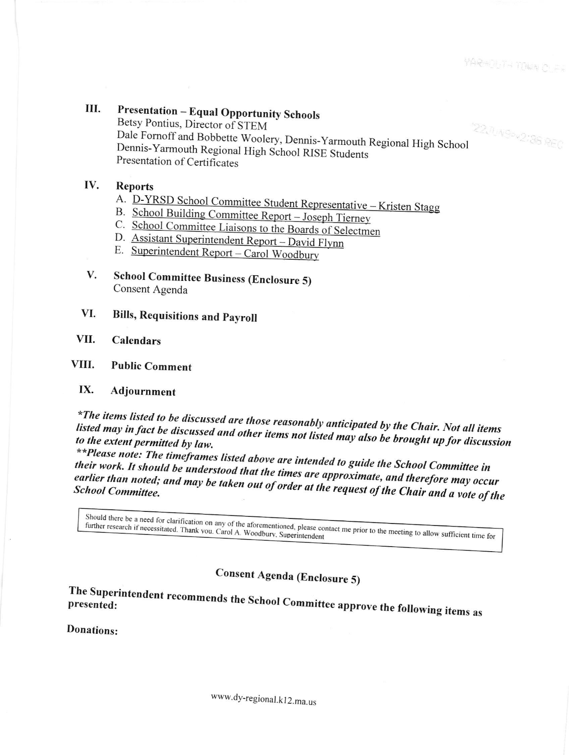### **Presentation - Equal Opportunity Schools** III.

Betsy Pontius, Director of STEM **22.1049-42:36 REC** Dale Fornoff and Bobbette Woolery, Dennis-Yarmouth Regional High School Dennis-Yarmouth Regional High School RISE Students Presentation of Certificates

### IV. **Reports**

- A. D-YRSD School Committee Student Representative Kristen Stagg
- B. School Building Committee Report Joseph Tierney
- C. School Committee Liaisons to the Boards of Selectmen
- D. Assistant Superintendent Report David Flynn
- E. Superintendent Report Carol Woodbury
- **School Committee Business (Enclosure 5)** V. Consent Agenda
- VI. **Bills, Requisitions and Payroll**

### VII. **Calendars**

### VIII. **Public Comment**

### IX. Adjournment

\*The items listed to be discussed are those reasonably anticipated by the Chair. Not all items listed may in fact be discussed and other items not listed may also be brought up for discussion to the extent permitted by law.

\*\*Please note: The timeframes listed above are intended to guide the School Committee in their work. It should be understood that the times are approximate, and therefore may occur earlier than noted; and may be taken out of order at the request of the Chair and a vote of the

Should there be a need for clarification on any of the aforementioned, please contact me prior to the meeting to allow sufficient time for

Consent Agenda (Enclosure 5)

The Superintendent recommends the School Committee approve the following items as

Donations: